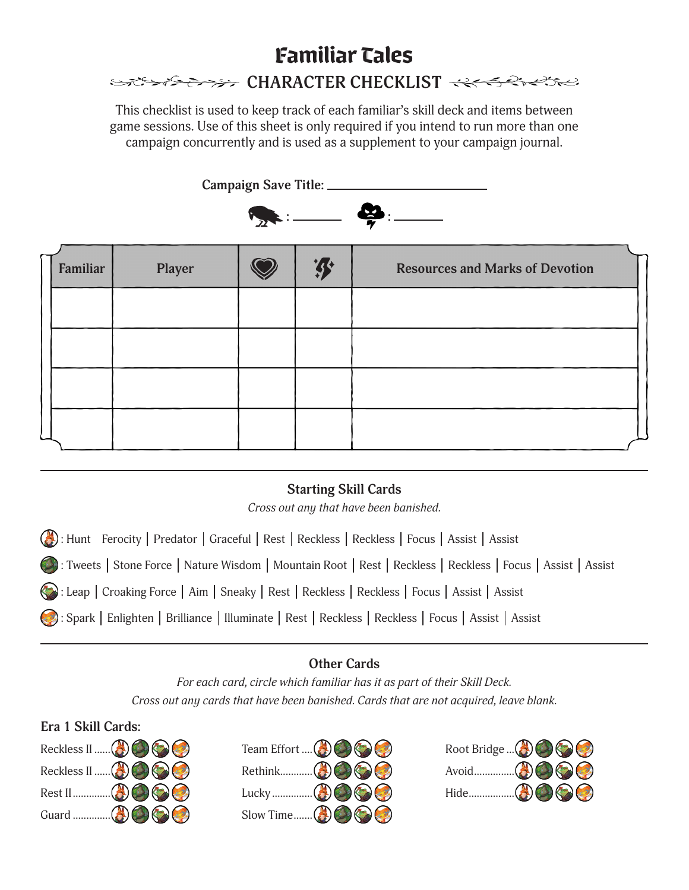# Familiar Tales SESSIBLE CHARACTER CHECKLIST

This checklist is used to keep track of each familiar's skill deck and items between game sessions. Use of this sheet is only required if you intend to run more than one campaign concurrently and is used as a supplement to your campaign journal.

**Campaign Save Title:** 



| Familiar | Player |  | <b>Resources and Marks of Devotion</b> |
|----------|--------|--|----------------------------------------|
|          |        |  |                                        |
|          |        |  |                                        |
|          |        |  |                                        |
|          |        |  |                                        |

# **Starting Skill Cards**

*Cross out any that have been banished.*

(A): Hunt Ferocity | Predator | Graceful | Rest | Reckless | Reckless | Focus | Assist | Assist

: Tweets | Stone Force | Nature Wisdom | Mountain Root | Rest | Reckless | Reckless | Focus | Assist | Assist

**(C)**: Leap | Croaking Force | Aim | Sneaky | Rest | Reckless | Reckless | Focus | Assist | Assist

: Spark | Enlighten | Brilliance | Illuminate | Rest | Reckless | Reckless | Focus | Assist | Assist

# **Other Cards**

*For each card, circle which familiar has it as part of their Skill Deck. Cross out any cards that have been banished. Cards that are not acquired, leave blank.*

### **Era 1 Skill Cards:**





| Root Bridge $\mathbb{C}(\mathbb{C})$ $\mathbb{C}(\mathbb{C})$                                                                              |  |
|--------------------------------------------------------------------------------------------------------------------------------------------|--|
| Avoid $\left(\begin{matrix}A \\ C\end{matrix}\right)\left(\begin{matrix}C \\ C\end{matrix}\right)\left(\begin{matrix}C\end{matrix}\right)$ |  |
|                                                                                                                                            |  |